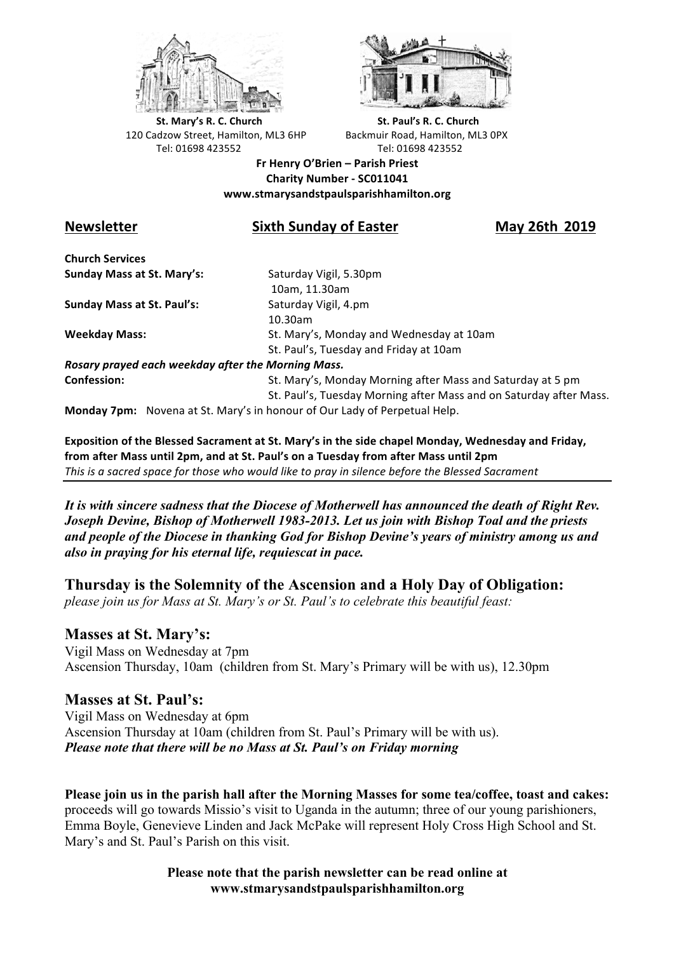



**St.** Mary's R. C. Church St. Paul's R. C. Church 120 Cadzow Street, Hamilton, ML3 6HP Backmuir Road, Hamilton, ML3 0PX Tel: 01698 423552 Tel: 01698 423552

**Fr Henry O'Brien – Parish Priest Charity Number - SC011041 www.stmarysandstpaulsparishhamilton.org**

# **Newsletter** Sixth Sunday of Easter May 26th 2019

**Church Services Sunday Mass at St. Mary's:** Saturday Vigil, 5.30pm

**Sunday Mass at St. Paul's:** Saturday Vigil, 4.pm

 10am, 11.30am 10.30am **Weekday Mass:** St. Mary's, Monday and Wednesday at 10am St. Paul's, Tuesday and Friday at 10am

*Rosary prayed each weekday after the Morning Mass.* **Confession:** St. Mary's, Monday Morning after Mass and Saturday at 5 pm

St. Paul's, Tuesday Morning after Mass and on Saturday after Mass.

**Monday 7pm:** Novena at St. Mary's in honour of Our Lady of Perpetual Help.

**Exposition of the Blessed Sacrament at St. Mary's in the side chapel Monday, Wednesday and Friday,** from after Mass until 2pm, and at St. Paul's on a Tuesday from after Mass until 2pm This is a sacred space for those who would like to pray in silence before the Blessed Sacrament

*It is with sincere sadness that the Diocese of Motherwell has announced the death of Right Rev. Joseph Devine, Bishop of Motherwell 1983-2013. Let us join with Bishop Toal and the priests and people of the Diocese in thanking God for Bishop Devine's years of ministry among us and also in praying for his eternal life, requiescat in pace.*

**Thursday is the Solemnity of the Ascension and a Holy Day of Obligation:**

*please join us for Mass at St. Mary's or St. Paul's to celebrate this beautiful feast:*

## **Masses at St. Mary's:**

Vigil Mass on Wednesday at 7pm Ascension Thursday, 10am (children from St. Mary's Primary will be with us), 12.30pm

## **Masses at St. Paul's:**

Vigil Mass on Wednesday at 6pm Ascension Thursday at 10am (children from St. Paul's Primary will be with us). *Please note that there will be no Mass at St. Paul's on Friday morning*

**Please join us in the parish hall after the Morning Masses for some tea/coffee, toast and cakes:** proceeds will go towards Missio's visit to Uganda in the autumn; three of our young parishioners, Emma Boyle, Genevieve Linden and Jack McPake will represent Holy Cross High School and St. Mary's and St. Paul's Parish on this visit.

> **Please note that the parish newsletter can be read online at www.stmarysandstpaulsparishhamilton.org**